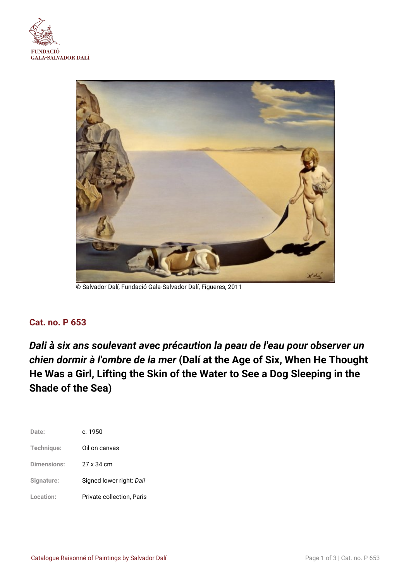



© Salvador Dalí, Fundació Gala-Salvador Dalí, Figueres, 2011

# **Cat. no. P 653**

*Dali à six ans soulevant avec précaution la peau de l'eau pour observer un chien dormir à l'ombre de la mer* **(Dalí at the Age of Six, When He Thought He Was a Girl, Lifting the Skin of the Water to See a Dog Sleeping in the Shade of the Sea)**

| Date:              | c. 1950                   |
|--------------------|---------------------------|
| Technique:         | Oil on canvas             |
| <b>Dimensions:</b> | 27 x 34 cm                |
| Signature:         | Signed lower right: Dalí  |
| Location:          | Private collection, Paris |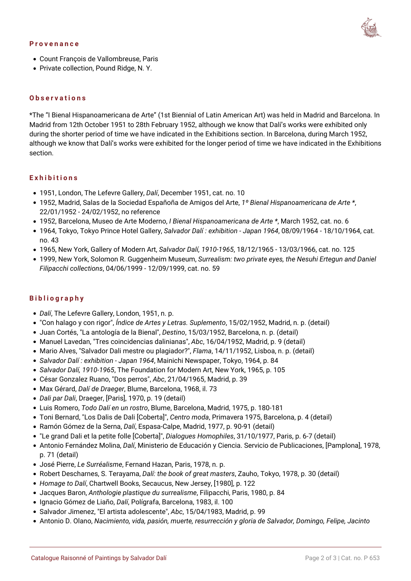#### **Provenance**

- Count François de Vallombreuse, Paris
- Private collection, Pound Ridge, N.Y.

# **Observations**

\*The "I Bienal Hispanoamericana de Arte" (1st Biennial of Latin American Art) was held in Madrid and Barcelona. In Madrid from 12th October 1951 to 28th February 1952, although we know that Dalí's works were exhibited only during the shorter period of time we have indicated in the Exhibitions section. In Barcelona, during March 1952, although we know that Dalí's works were exhibited for the longer period of time we have indicated in the Exhibitions section.

#### **Exhibitions**

- 1951, London, The Lefevre Gallery, *Dalí*, December 1951, cat. no. 10
- 1952, Madrid, Salas de la Sociedad Españoña de Amigos del Arte, *1º Bienal Hispanoamericana de Arte \**, 22/01/1952 - 24/02/1952, no reference
- 1952, Barcelona, Museo de Arte Moderno, *I Bienal Hispanoamericana de Arte \**, March 1952, cat. no. 6
- 1964, Tokyo, Tokyo Prince Hotel Gallery, *Salvador Dalí : exhibition Japan 1964*, 08/09/1964 18/10/1964, cat. no. 43
- 1965, New York, Gallery of Modern Art, *Salvador Dalí, 1910-1965*, 18/12/1965 13/03/1966, cat. no. 125
- 1999, New York, Solomon R. Guggenheim Museum, *Surrealism: two private eyes, the Nesuhi Ertegun and Daniel Filipacchi collections*, 04/06/1999 - 12/09/1999, cat. no. 59

## **Bibliography**

- *Dalí*, The Lefevre Gallery, London, 1951, n. p.
- "Con halago y con rigor", *Índice de Artes y Letras. Suplemento*, 15/02/1952, Madrid, n. p. (detail)
- Juan Cortés, "La antología de la Bienal", *Destino*, 15/03/1952, Barcelona, n. p. (detail)
- Manuel Lavedan, "Tres coincidencias dalinianas", *Abc*, 16/04/1952, Madrid, p. 9 (detail)
- Mario Alves, "Salvador Dali mestre ou plagiador?", *Flama*, 14/11/1952, Lisboa, n. p. (detail)
- *Salvador Dalí : exhibition Japan 1964*, Mainichi Newspaper, Tokyo, 1964, p. 84
- *Salvador Dalí, 1910-1965*, The Foundation for Modern Art, New York, 1965, p. 105
- César Gonzalez Ruano, "Dos perros", *Abc*, 21/04/1965, Madrid, p. 39
- Max Gérard, *Dalí de Draeger*, Blume, Barcelona, 1968, il. 73
- *Dali par Dali*, Draeger, [Paris], 1970, p. 19 (detail)
- Luis Romero, *Todo Dalí en un rostro*, Blume, Barcelona, Madrid, 1975, p. 180-181
- Toni Bernard, "Los Dalis de Dali [Coberta]", *Centro moda*, Primavera 1975, Barcelona, p. 4 (detail)
- Ramón Gómez de la Serna, *Dalí*, Espasa-Calpe, Madrid, 1977, p. 90-91 (detail)
- "Le grand Dali et la petite folle [Coberta]", *Dialogues Homophiles*, 31/10/1977, Paris, p. 6-7 (detail)
- Antonio Fernández Molina, *Dalí*, Ministerio de Educación y Ciencia. Servicio de Publicaciones, [Pamplona], 1978, p. 71 (detail)
- José Pierre, *Le Surréalisme*, Fernand Hazan, Paris, 1978, n. p.
- Robert Descharnes, S. Terayama, *Dalí: the book of great masters*, Zauho, Tokyo, 1978, p. 30 (detail)
- *Homage to Dalí*, Chartwell Books, Secaucus, New Jersey, [1980], p. 122
- Jacques Baron, *Anthologie plastique du surrealisme*, Filipacchi, Paris, 1980, p. 84
- Ignacio Gómez de Liaño, *Dalí*, Polígrafa, Barcelona, 1983, il. 100
- Salvador Jimenez, "El artista adolescente", *Abc*, 15/04/1983, Madrid, p. 99
- Antonio D. Olano, *Nacimiento, vida, pasión, muerte, resurrección y gloria de Salvador, Domingo, Felipe, Jacinto*